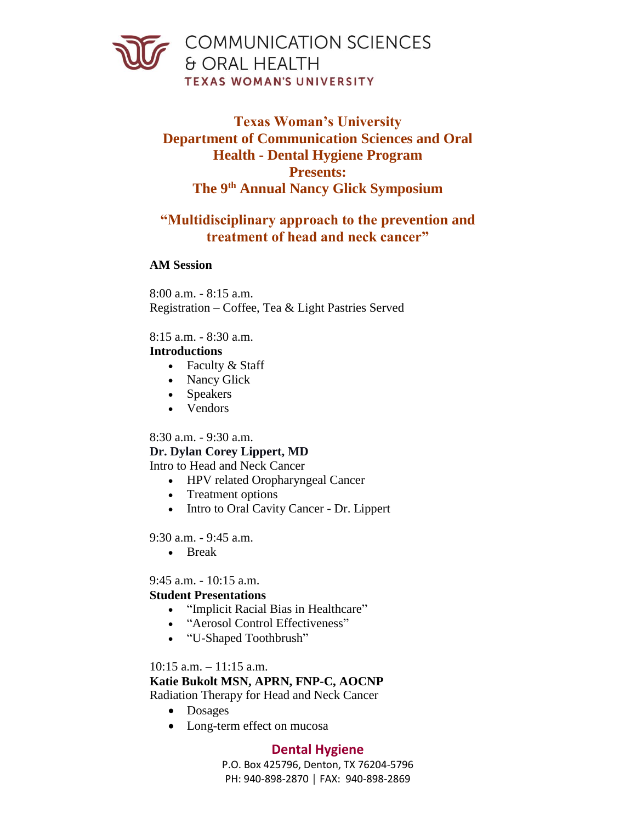

# **Texas Woman's University Department of Communication Sciences and Oral Health - Dental Hygiene Program Presents: The 9th Annual Nancy Glick Symposium**

# **"Multidisciplinary approach to the prevention and treatment of head and neck cancer"**

### **AM Session**

8:00 a.m. - 8:15 a.m. Registration – Coffee, Tea & Light Pastries Served

### 8:15 a.m. - 8:30 a.m.

### **Introductions**

- Faculty & Staff
- Nancy Glick
- Speakers
- Vendors

# 8:30 a.m. - 9:30 a.m.

# **Dr. Dylan Corey Lippert, MD**

Intro to Head and Neck Cancer

- HPV related Oropharyngeal Cancer
- Treatment options
- Intro to Oral Cavity Cancer Dr. Lippert

9:30 a.m. - 9:45 a.m.

• Break

# 9:45 a.m. - 10:15 a.m.

# **Student Presentations**

- "Implicit Racial Bias in Healthcare"
- "Aerosol Control Effectiveness"
- "U-Shaped Toothbrush"

# $10:15$  a.m.  $-11:15$  a.m.

**Katie Bukolt MSN, APRN, FNP-C, AOCNP** 

Radiation Therapy for Head and Neck Cancer

- Dosages
- Long-term effect on mucosa

# **Dental Hygiene**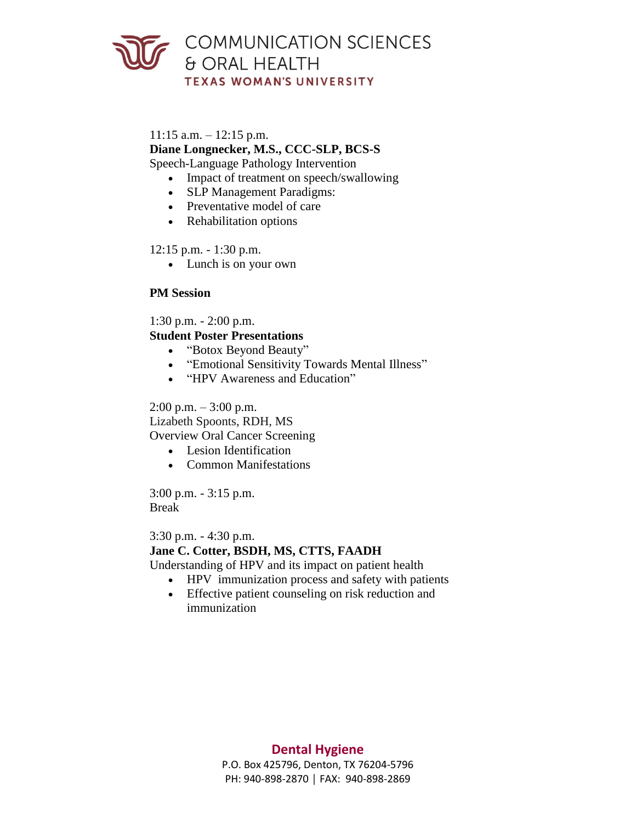

#### $11:15$  a.m.  $-12:15$  p.m.

**Diane Longnecker, M.S., CCC-SLP, BCS-S** 

Speech-Language Pathology Intervention

- Impact of treatment on speech/swallowing
- SLP Management Paradigms:
- Preventative model of care
- Rehabilitation options

### 12:15 p.m. - 1:30 p.m.

• Lunch is on your own

### **PM Session**

1:30 p.m. - 2:00 p.m.

# **Student Poster Presentations**

- "Botox Beyond Beauty"
- "Emotional Sensitivity Towards Mental Illness"
- "HPV Awareness and Education"

### $2:00 \text{ p.m.} - 3:00 \text{ p.m.}$

Lizabeth Spoonts, RDH, MS

Overview Oral Cancer Screening

- Lesion Identification
- Common Manifestations

3:00 p.m. - 3:15 p.m. Break

#### 3:30 p.m. - 4:30 p.m.

### **Jane C. Cotter, BSDH, MS, CTTS, FAADH**

Understanding of HPV and its impact on patient health

- HPV immunization process and safety with patients
- Effective patient counseling on risk reduction and immunization

# **Dental Hygiene**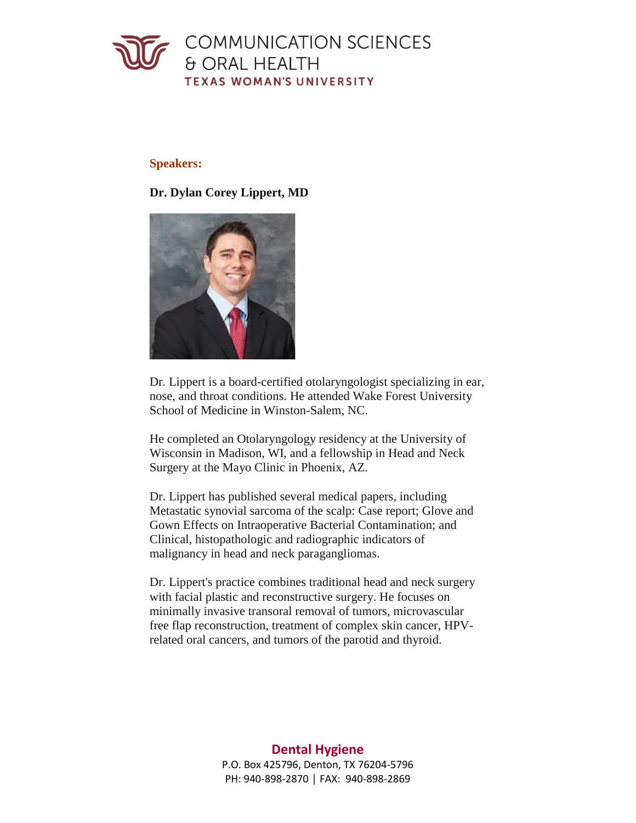

### **Speakers:**

### **Dr. Dylan Corey Lippert, MD**



Dr. Lippert is a board-certified otolaryngologist specializing in ear, nose, and throat conditions. He attended Wake Forest University School of Medicine in Winston-Salem, NC.

He completed an Otolaryngology residency at the University of Wisconsin in Madison, WI, and a fellowship in Head and Neck Surgery at the Mayo Clinic in Phoenix, AZ.

Dr. Lippert has published several medical papers, including Metastatic synovial sarcoma of the scalp: Case report; Glove and Gown Effects on Intraoperative Bacterial Contamination; and Clinical, histopathologic and radiographic indicators of malignancy in head and neck paragangliomas.

Dr. Lippert's practice combines traditional head and neck surgery with facial plastic and reconstructive surgery. He focuses on minimally invasive transoral removal of tumors, microvascular free flap reconstruction, treatment of complex skin cancer, HPVrelated oral cancers, and tumors of the parotid and thyroid.

# **Dental Hygiene**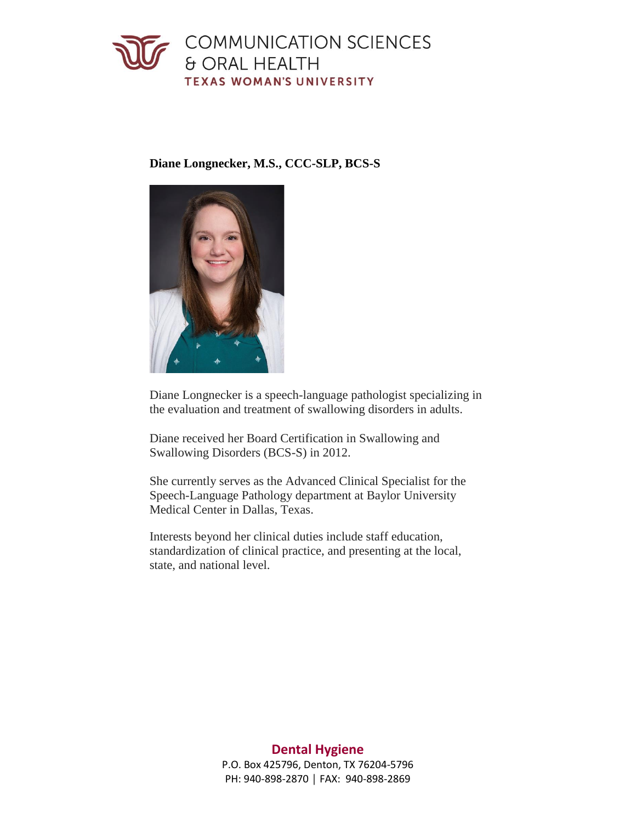

**Diane Longnecker, M.S., CCC-SLP, BCS-S** 



Diane Longnecker is a speech-language pathologist specializing in the evaluation and treatment of swallowing disorders in adults.

Diane received her Board Certification in Swallowing and Swallowing Disorders (BCS-S) in 2012.

Medical Center in Dallas, Texas. She currently serves as the Advanced Clinical Specialist for the Speech-Language Pathology department at Baylor University

Interests beyond her clinical duties include staff education, standardization of clinical practice, and presenting at the local, state, and national level.

# **Dental Hygiene**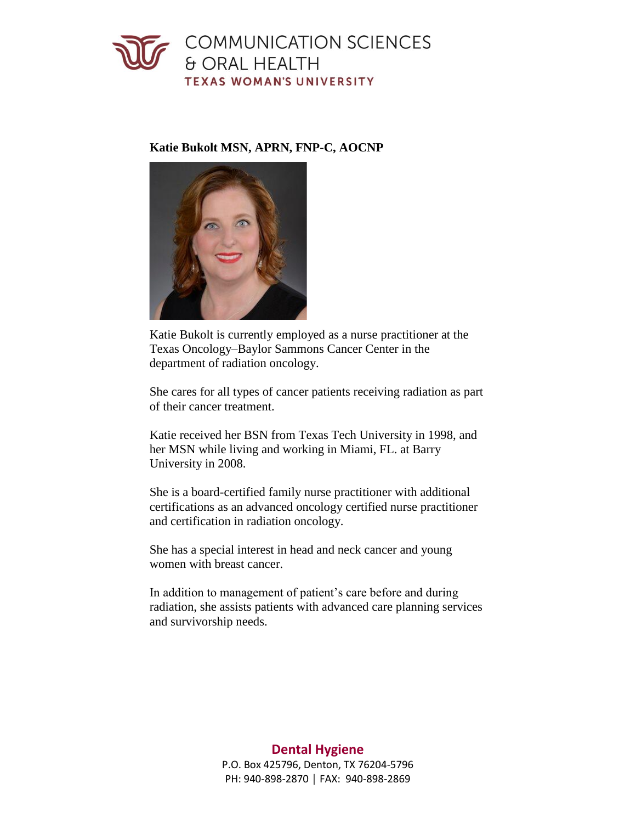# COMMUNICATION SCIENCES & ORAL HEALTH **TEXAS WOMAN'S UNIVERSITY**

### **Katie Bukolt MSN, APRN, FNP-C, AOCNP**



 Texas Oncology–Baylor Sammons Cancer Center in the Katie Bukolt is currently employed as a nurse practitioner at the department of radiation oncology.

She cares for all types of cancer patients receiving radiation as part of their cancer treatment.

Katie received her BSN from Texas Tech University in 1998, and her MSN while living and working in Miami, FL. at Barry University in 2008.

She is a board-certified family nurse practitioner with additional certifications as an advanced oncology certified nurse practitioner and certification in radiation oncology.

She has a special interest in head and neck cancer and young women with breast cancer.

In addition to management of patient's care before and during radiation, she assists patients with advanced care planning services and survivorship needs.

# **Dental Hygiene**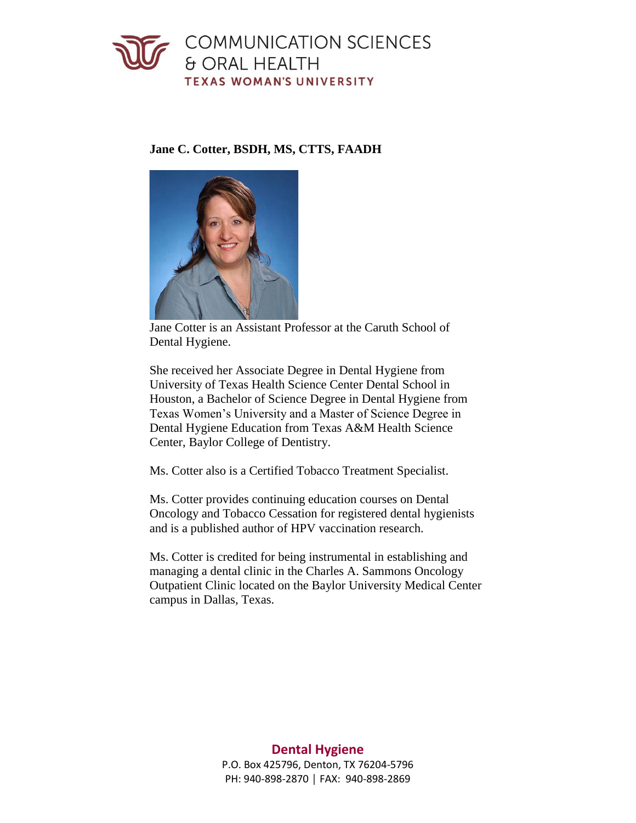

### **Jane C. Cotter, BSDH, MS, CTTS, FAADH**



Jane Cotter is an Assistant Professor at the Caruth School of Dental Hygiene.

She received her Associate Degree in Dental Hygiene from University of Texas Health Science Center Dental School in Houston, a Bachelor of Science Degree in Dental Hygiene from Texas Women's University and a Master of Science Degree in Dental Hygiene Education from Texas A&M Health Science Center, Baylor College of Dentistry.

Ms. Cotter also is a Certified Tobacco Treatment Specialist.

Ms. Cotter provides continuing education courses on Dental Oncology and Tobacco Cessation for registered dental hygienists and is a published author of HPV vaccination research.

Ms. Cotter is credited for being instrumental in establishing and managing a dental clinic in the Charles A. Sammons Oncology Outpatient Clinic located on the Baylor University Medical Center campus in Dallas, Texas.

# **Dental Hygiene**